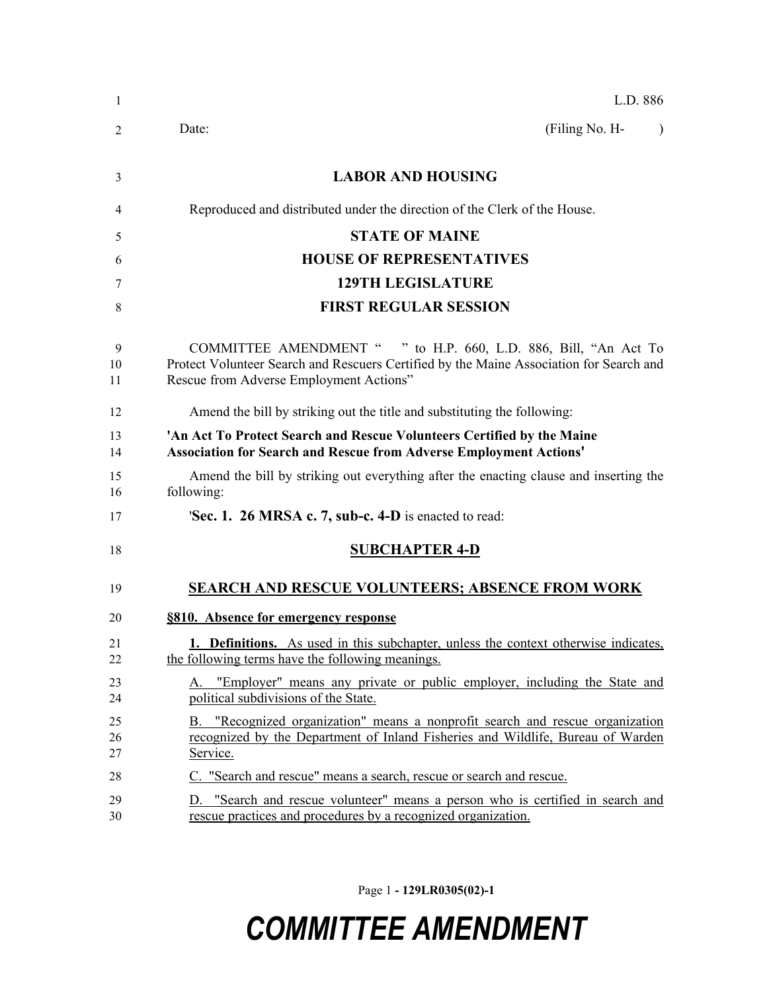| 1              | L.D. 886                                                                                                                                                                                              |
|----------------|-------------------------------------------------------------------------------------------------------------------------------------------------------------------------------------------------------|
| 2              | (Filing No. H-<br>Date:<br>$\lambda$                                                                                                                                                                  |
| 3              | <b>LABOR AND HOUSING</b>                                                                                                                                                                              |
| 4              | Reproduced and distributed under the direction of the Clerk of the House.                                                                                                                             |
| 5              | <b>STATE OF MAINE</b>                                                                                                                                                                                 |
| 6              | <b>HOUSE OF REPRESENTATIVES</b>                                                                                                                                                                       |
| 7              | <b>129TH LEGISLATURE</b>                                                                                                                                                                              |
| 8              | <b>FIRST REGULAR SESSION</b>                                                                                                                                                                          |
| 9<br>10<br>11  | COMMITTEE AMENDMENT " " to H.P. 660, L.D. 886, Bill, "An Act To<br>Protect Volunteer Search and Rescuers Certified by the Maine Association for Search and<br>Rescue from Adverse Employment Actions" |
| 12             | Amend the bill by striking out the title and substituting the following:                                                                                                                              |
| 13<br>14       | 'An Act To Protect Search and Rescue Volunteers Certified by the Maine<br><b>Association for Search and Rescue from Adverse Employment Actions'</b>                                                   |
| 15<br>16       | Amend the bill by striking out everything after the enacting clause and inserting the<br>following:                                                                                                   |
| 17             | <b>Sec. 1. 26 MRSA c. 7, sub-c. 4-D</b> is enacted to read:                                                                                                                                           |
| 18             | <b>SUBCHAPTER 4-D</b>                                                                                                                                                                                 |
| 19             | <b>SEARCH AND RESCUE VOLUNTEERS; ABSENCE FROM WORK</b>                                                                                                                                                |
| 20             | §810. Absence for emergency response                                                                                                                                                                  |
| 21<br>22       | <b>1. Definitions.</b> As used in this subchapter, unless the context otherwise indicates,<br>the following terms have the following meanings.                                                        |
| 23<br>24       | A. "Employer" means any private or public employer, including the State and<br>political subdivisions of the State.                                                                                   |
| 25<br>26<br>27 | B. "Recognized organization" means a nonprofit search and rescue organization<br>recognized by the Department of Inland Fisheries and Wildlife, Bureau of Warden<br>Service.                          |
| 28             | C. "Search and rescue" means a search, rescue or search and rescue.                                                                                                                                   |
| 29<br>30       | D. "Search and rescue volunteer" means a person who is certified in search and<br>rescue practices and procedures by a recognized organization.                                                       |

Page 1 **- 129LR0305(02)-1**

## *COMMITTEE AMENDMENT*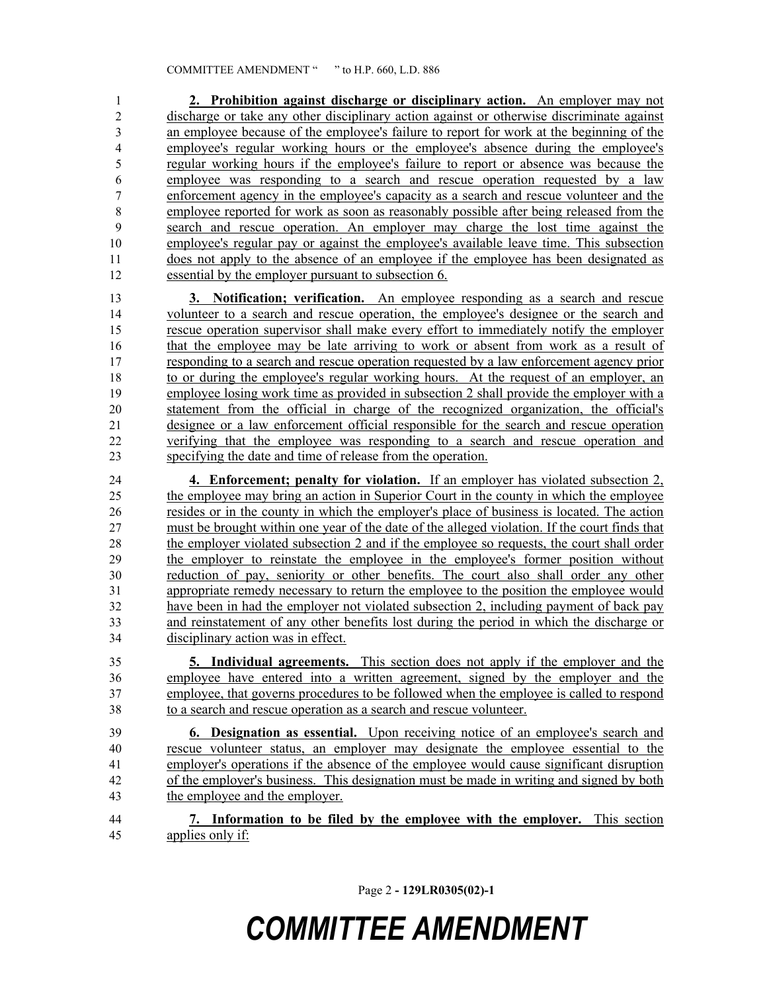**2. Prohibition against discharge or disciplinary action.** An employer may not discharge or take any other disciplinary action against or otherwise discriminate against an employee because of the employee's failure to report for work at the beginning of the employee's regular working hours or the employee's absence during the employee's regular working hours if the employee's failure to report or absence was because the employee was responding to a search and rescue operation requested by a law enforcement agency in the employee's capacity as a search and rescue volunteer and the employee reported for work as soon as reasonably possible after being released from the search and rescue operation. An employer may charge the lost time against the employee's regular pay or against the employee's available leave time. This subsection does not apply to the absence of an employee if the employee has been designated as essential by the employer pursuant to subsection 6.

 **3. Notification; verification.** An employee responding as a search and rescue volunteer to a search and rescue operation, the employee's designee or the search and rescue operation supervisor shall make every effort to immediately notify the employer that the employee may be late arriving to work or absent from work as a result of responding to a search and rescue operation requested by a law enforcement agency prior to or during the employee's regular working hours. At the request of an employer, an employee losing work time as provided in subsection 2 shall provide the employer with a statement from the official in charge of the recognized organization, the official's designee or a law enforcement official responsible for the search and rescue operation verifying that the employee was responding to a search and rescue operation and specifying the date and time of release from the operation.

 **4. Enforcement; penalty for violation.** If an employer has violated subsection 2, the employee may bring an action in Superior Court in the county in which the employee resides or in the county in which the employer's place of business is located. The action must be brought within one year of the date of the alleged violation. If the court finds that the employer violated subsection 2 and if the employee so requests, the court shall order the employer to reinstate the employee in the employee's former position without reduction of pay, seniority or other benefits. The court also shall order any other appropriate remedy necessary to return the employee to the position the employee would have been in had the employer not violated subsection 2, including payment of back pay and reinstatement of any other benefits lost during the period in which the discharge or disciplinary action was in effect.

 **5. Individual agreements.** This section does not apply if the employer and the employee have entered into a written agreement, signed by the employer and the employee, that governs procedures to be followed when the employee is called to respond to a search and rescue operation as a search and rescue volunteer.

 **6. Designation as essential.** Upon receiving notice of an employee's search and rescue volunteer status, an employer may designate the employee essential to the employer's operations if the absence of the employee would cause significant disruption of the employer's business. This designation must be made in writing and signed by both the employee and the employer.

 **7. Information to be filed by the employee with the employer.** This section applies only if:

Page 2 **- 129LR0305(02)-1**

## *COMMITTEE AMENDMENT*